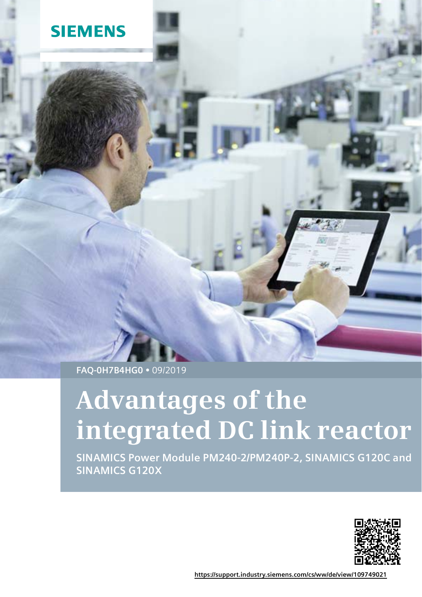## **SIEMENS**

**FAQ-0H7B4HG0**  09/2019

# **Advantages of the integrated DC link reactor**

**SINAMICS Power Module PM240-2/PM240P-2, SINAMICS G120C and SINAMICS G120X**



**<https://support.industry.siemens.com/cs/ww/de/view/109749021>**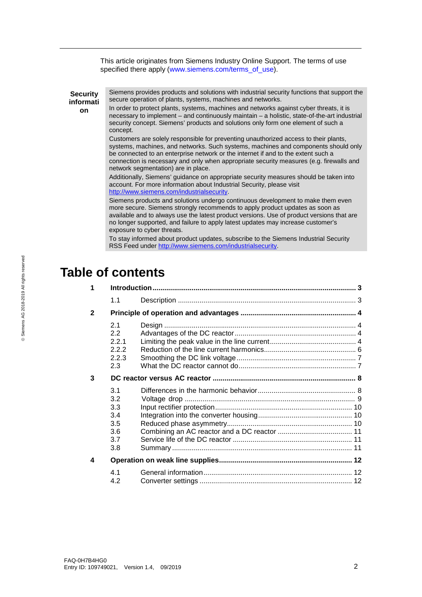This article originates from Siemens Industry Online Support. The terms of use specified there apply [\(www.siemens.com/terms\\_of\\_use\)](http://www.siemens.com/terms_of_use).

**Security informati on** Siemens provides products and solutions with industrial security functions that support the secure operation of plants, systems, machines and networks. In order to protect plants, systems, machines and networks against cyber threats, it is necessary to implement – and continuously maintain – a holistic, state-of-the-art industrial security concept. Siemens' products and solutions only form one element of such a concept. Customers are solely responsible for preventing unauthorized access to their plants, systems, machines, and networks. Such systems, machines and components should only be connected to an enterprise network or the internet if and to the extent such a connection is necessary and only when appropriate security measures (e.g. firewalls and network segmentation) are in place. Additionally, Siemens' guidance on appropriate security measures should be taken into account. For more information about Industrial Security, please visit [http://www.siemens.com/industrialsecurity.](http://www.siemens.com/industrialsecurity) Siemens products and solutions undergo continuous development to make them even more secure. Siemens strongly recommends to apply product updates as soon as available and to always use the latest product versions. Use of product versions that are no longer supported, and failure to apply latest updates may increase customer's exposure to cyber threats. To stay informed about product updates, subscribe to the Siemens Industrial Security

RSS Feed unde[r http://www.siemens.com/industrialsecurity.](http://www.siemens.com/industrialsecurity)

## **Table of contents**

| 1            |                                                        |  |  |
|--------------|--------------------------------------------------------|--|--|
|              | 1.1                                                    |  |  |
| $\mathbf{2}$ |                                                        |  |  |
|              | 2.1<br>$2.2^{\circ}$<br>2.2.1<br>2.2.2<br>2.2.3<br>2.3 |  |  |
| 3            |                                                        |  |  |
|              | 3.1<br>3.2<br>3.3<br>3.4<br>3.5<br>3.6<br>3.7<br>3.8   |  |  |
| 4            |                                                        |  |  |
|              | 4.1<br>4.2                                             |  |  |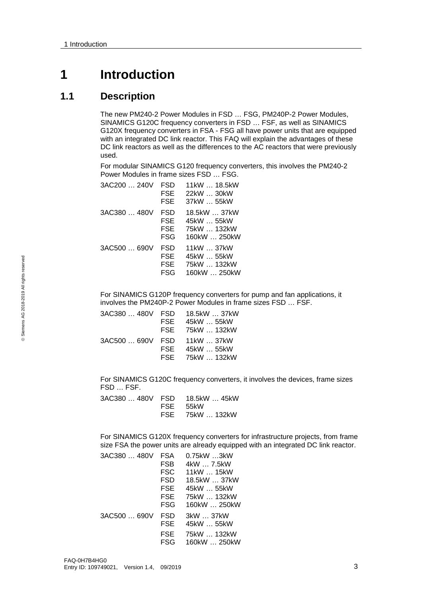## <span id="page-2-0"></span>**1 Introduction**

## <span id="page-2-1"></span>**1.1 Description**

The new PM240-2 Power Modules in FSD … FSG, PM240P-2 Power Modules, SINAMICS G120C frequency converters in FSD … FSF, as well as SINAMICS G120X frequency converters in FSA - FSG all have power units that are equipped with an integrated DC link reactor. This FAQ will explain the advantages of these DC link reactors as well as the differences to the AC reactors that were previously used.

For modular SINAMICS G120 frequency converters, this involves the PM240-2 Power Modules in frame sizes FSD … FSG.

| 3AC200  240V | FSD<br>FSE<br>FSE                      | 11kW  18.5kW<br>22kW  30kW<br>37kW  55kW                  |
|--------------|----------------------------------------|-----------------------------------------------------------|
| 3AC380  480V | FSD<br><b>FSE</b><br><b>FSE</b><br>FSG | 18.5kW  37kW<br>45kW  55kW<br>75kW  132kW<br>160kW  250kW |
| 3AC500  690V | FSD<br><b>FSE</b><br>FSE<br>FSG        | 11kW 37kW<br>45kW  55kW<br>75kW  132kW<br>160kW  250kW    |

For SINAMICS G120P frequency converters for pump and fan applications, it involves the PM240P-2 Power Modules in frame sizes FSD … FSF.

| 3AC380  480V FSD | 18.5kW  37kW    |
|------------------|-----------------|
| FSE              | 45kW  55kW      |
|                  | FSE 75kW  132kW |
| 3AC500  690V FSD | 11kW  37kW      |
| FSE              | 45kW  55kW      |
|                  | FSE 75kW  132kW |
|                  |                 |

For SINAMICS G120C frequency converters, it involves the devices, frame sizes FSD … FSF.

|  | 3AC380  480V FSD   18.5kW  45kW |
|--|---------------------------------|
|  | FSE 55kW                        |
|  | FSE 75kW  132kW                 |

For SINAMICS G120X frequency converters for infrastructure projects, from frame size FSA the power units are already equipped with an integrated DC link reactor.

| <b>FSA</b> | $0.75$ k $W$ 3k $W$ |
|------------|---------------------|
| <b>FSB</b> | 4kW  7.5kW          |
| <b>FSC</b> | 11kW  15kW          |
| FSD        | 18.5kW  37kW        |
| FSE        | 45kW  55kW          |
| FSE.       | 75kW  132kW         |
| <b>FSG</b> | 160kW  250kW        |
| FSD        | 3kW  37kW           |
| FSE        | 45kW  55kW          |
| <b>FSE</b> | 75kW  132kW         |
| FSG        | 160kW  250kW        |
|            |                     |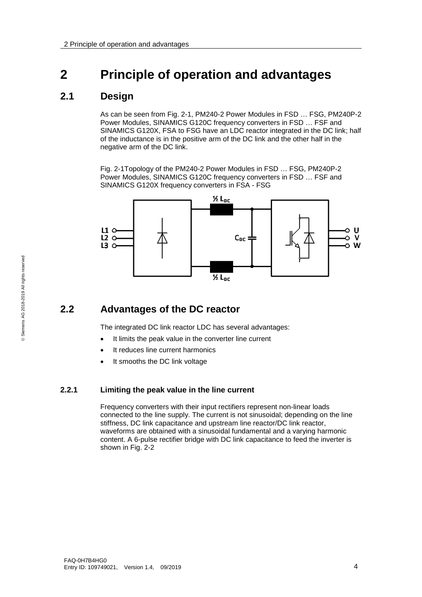## <span id="page-3-0"></span>**2 Principle of operation and advantages**

## <span id="page-3-1"></span>**2.1 Design**

As can be seen from Fig. 2-1, PM240-2 Power Modules in FSD … FSG, PM240P-2 Power Modules, SINAMICS G120C frequency converters in FSD … FSF and SINAMICS G120X, FSA to FSG have an LDC reactor integrated in the DC link; half of the inductance is in the positive arm of the DC link and the other half in the negative arm of the DC link.

Fig. 2-1Topology of the PM240-2 Power Modules in FSD … FSG, PM240P-2 Power Modules, SINAMICS G120C frequency converters in FSD … FSF and SINAMICS G120X frequency converters in FSA - FSG



## <span id="page-3-2"></span>**2.2 Advantages of the DC reactor**

The integrated DC link reactor LDC has several advantages:

- It limits the peak value in the converter line current
- It reduces line current harmonics
- It smooths the DC link voltage

#### <span id="page-3-3"></span>**2.2.1 Limiting the peak value in the line current**

Frequency converters with their input rectifiers represent non-linear loads connected to the line supply. The current is not sinusoidal; depending on the line stiffness, DC link capacitance and upstream line reactor/DC link reactor, waveforms are obtained with a sinusoidal fundamental and a varying harmonic content. A 6-pulse rectifier bridge with DC link capacitance to feed the inverter is shown in Fig. 2-2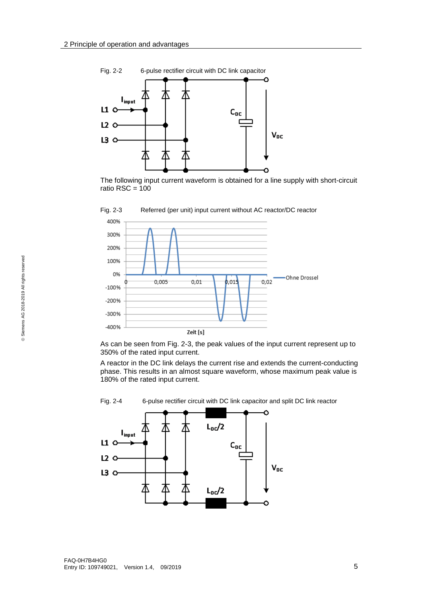

The following input current waveform is obtained for a line supply with short-circuit ratio RSC =  $100$ 



Fig. 2-3 Referred (per unit) input current without AC reactor/DC reactor

As can be seen from Fig. 2-3, the peak values of the input current represent up to 350% of the rated input current.

A reactor in the DC link delays the current rise and extends the current-conducting phase. This results in an almost square waveform, whose maximum peak value is 180% of the rated input current.



Fig. 2-4 6-pulse rectifier circuit with DC link capacitor and split DC link reactor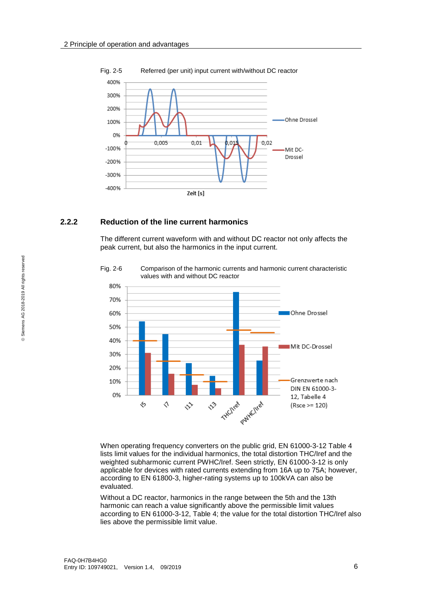

#### Fig. 2-5 Referred (per unit) input current with/without DC reactor

#### <span id="page-5-0"></span>**2.2.2 Reduction of the line current harmonics**

The different current waveform with and without DC reactor not only affects the peak current, but also the harmonics in the input current.



Fig. 2-6 Comparison of the harmonic currents and harmonic current characteristic values with and without DC reactor

When operating frequency converters on the public grid, EN 61000-3-12 Table 4 lists limit values for the individual harmonics, the total distortion THC/Iref and the weighted subharmonic current PWHC/Iref. Seen strictly, EN 61000-3-12 is only applicable for devices with rated currents extending from 16A up to 75A; however, according to EN 61800-3, higher-rating systems up to 100kVA can also be evaluated.

Without a DC reactor, harmonics in the range between the 5th and the 13th harmonic can reach a value significantly above the permissible limit values according to EN 61000-3-12, Table 4; the value for the total distortion THC/Iref also lies above the permissible limit value.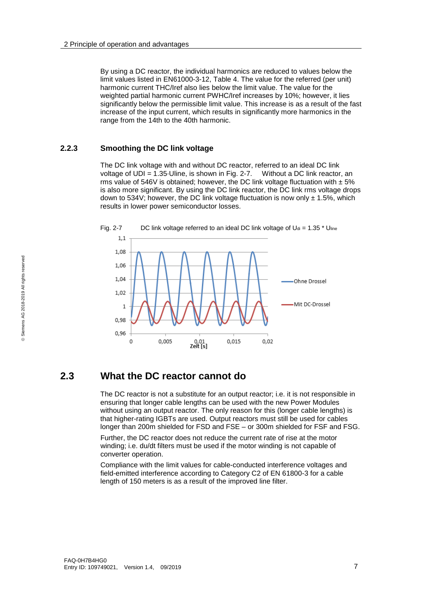By using a DC reactor, the individual harmonics are reduced to values below the limit values listed in EN61000-3-12, Table 4. The value for the referred (per unit) harmonic current THC/Iref also lies below the limit value. The value for the weighted partial harmonic current PWHC/Iref increases by 10%; however, it lies significantly below the permissible limit value. This increase is as a result of the fast increase of the input current, which results in significantly more harmonics in the range from the 14th to the 40th harmonic.

#### <span id="page-6-0"></span>**2.2.3 Smoothing the DC link voltage**

The DC link voltage with and without DC reactor, referred to an ideal DC link voltage of UDI = 1.35⋅Uline, is shown in Fig. 2-7. Without a DC link reactor, an rms value of 546V is obtained; however, the DC link voltage fluctuation with  $\pm$  5% is also more significant. By using the DC link reactor, the DC link rms voltage drops down to 534V; however, the DC link voltage fluctuation is now only  $\pm$  1.5%, which results in lower power semiconductor losses.



Fig. 2-7 DC link voltage referred to an ideal DC link voltage of  $U_{di} = 1.35 * U_{line}$ 

### <span id="page-6-1"></span>**2.3 What the DC reactor cannot do**

The DC reactor is not a substitute for an output reactor; i.e. it is not responsible in ensuring that longer cable lengths can be used with the new Power Modules without using an output reactor. The only reason for this (longer cable lengths) is that higher-rating IGBTs are used. Output reactors must still be used for cables longer than 200m shielded for FSD and FSE – or 300m shielded for FSF and FSG.

Further, the DC reactor does not reduce the current rate of rise at the motor winding; i.e. du/dt filters must be used if the motor winding is not capable of converter operation.

Compliance with the limit values for cable-conducted interference voltages and field-emitted interference according to Category C2 of EN 61800-3 for a cable length of 150 meters is as a result of the improved line filter.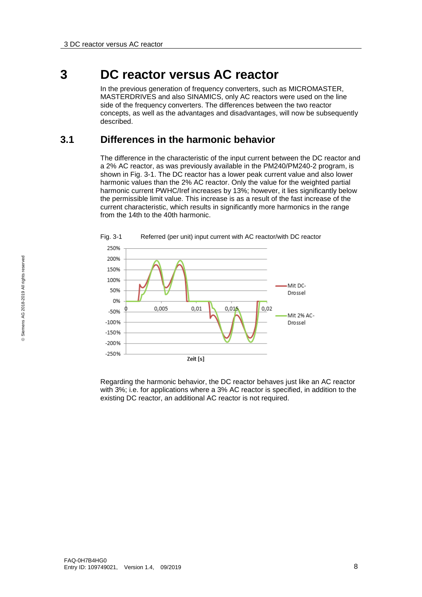## <span id="page-7-0"></span>**3 DC reactor versus AC reactor**

In the previous generation of frequency converters, such as MICROMASTER, MASTERDRIVES and also SINAMICS, only AC reactors were used on the line side of the frequency converters. The differences between the two reactor concepts, as well as the advantages and disadvantages, will now be subsequently described.

## <span id="page-7-1"></span>**3.1 Differences in the harmonic behavior**

The difference in the characteristic of the input current between the DC reactor and a 2% AC reactor, as was previously available in the PM240/PM240-2 program, is shown in Fig. 3-1. The DC reactor has a lower peak current value and also lower harmonic values than the 2% AC reactor. Only the value for the weighted partial harmonic current PWHC/Iref increases by 13%; however, it lies significantly below the permissible limit value. This increase is as a result of the fast increase of the current characteristic, which results in significantly more harmonics in the range from the 14th to the 40th harmonic.



Regarding the harmonic behavior, the DC reactor behaves just like an AC reactor with 3%; i.e. for applications where a 3% AC reactor is specified, in addition to the existing DC reactor, an additional AC reactor is not required.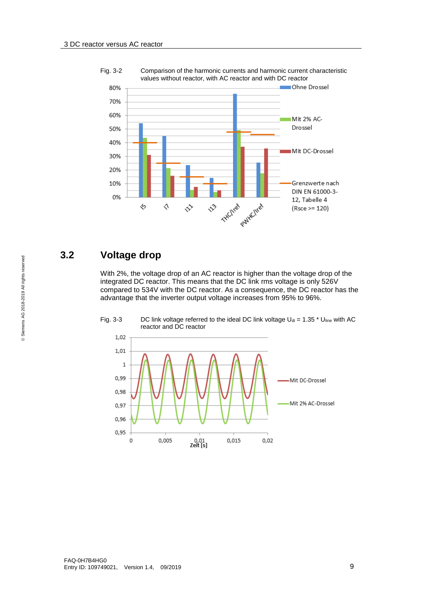

Fig. 3-2 Comparison of the harmonic currents and harmonic current characteristic values without reactor, with AC reactor and with DC reactor

## <span id="page-8-0"></span>**3.2 Voltage drop**

With 2%, the voltage drop of an AC reactor is higher than the voltage drop of the integrated DC reactor. This means that the DC link rms voltage is only 526V compared to 534V with the DC reactor. As a consequence, the DC reactor has the advantage that the inverter output voltage increases from 95% to 96%.



Fig. 3-3 DC link voltage referred to the ideal DC link voltage  $U_{di} = 1.35 * U_{line}$  with AC reactor and DC reactor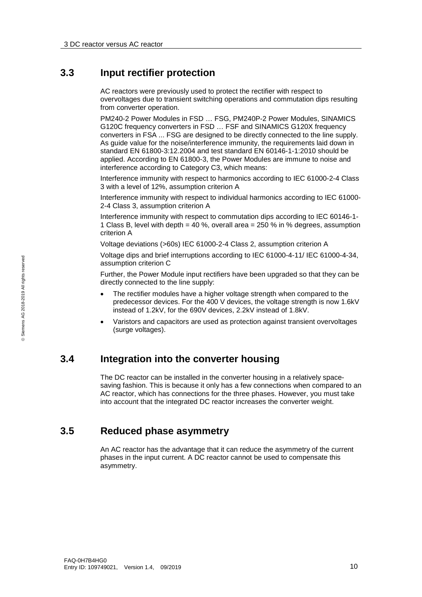#### <span id="page-9-0"></span>**3.3 Input rectifier protection**

AC reactors were previously used to protect the rectifier with respect to overvoltages due to transient switching operations and commutation dips resulting from converter operation.

PM240-2 Power Modules in FSD … FSG, PM240P-2 Power Modules, SINAMICS G120C frequency converters in FSD … FSF and SINAMICS G120X frequency converters in FSA ... FSG are designed to be directly connected to the line supply. As guide value for the noise/interference immunity, the requirements laid down in standard EN 61800-3:12.2004 and test standard EN 60146-1-1:2010 should be applied. According to EN 61800-3, the Power Modules are immune to noise and interference according to Category C3, which means:

Interference immunity with respect to harmonics according to IEC 61000-2-4 Class 3 with a level of 12%, assumption criterion A

Interference immunity with respect to individual harmonics according to IEC 61000- 2-4 Class 3, assumption criterion A

Interference immunity with respect to commutation dips according to IEC 60146-1- 1 Class B, level with depth = 40 %, overall area =  $250$  % in % degrees, assumption criterion A

Voltage deviations (>60s) IEC 61000-2-4 Class 2, assumption criterion A

Voltage dips and brief interruptions according to IEC 61000-4-11/ IEC 61000-4-34, assumption criterion C

Further, the Power Module input rectifiers have been upgraded so that they can be directly connected to the line supply:

- The rectifier modules have a higher voltage strength when compared to the predecessor devices. For the 400 V devices, the voltage strength is now 1.6kV instead of 1.2kV, for the 690V devices, 2.2kV instead of 1.8kV.
- Varistors and capacitors are used as protection against transient overvoltages (surge voltages).

## <span id="page-9-1"></span>**3.4 Integration into the converter housing**

The DC reactor can be installed in the converter housing in a relatively spacesaving fashion. This is because it only has a few connections when compared to an AC reactor, which has connections for the three phases. However, you must take into account that the integrated DC reactor increases the converter weight.

## <span id="page-9-2"></span>**3.5 Reduced phase asymmetry**

An AC reactor has the advantage that it can reduce the asymmetry of the current phases in the input current. A DC reactor cannot be used to compensate this asymmetry.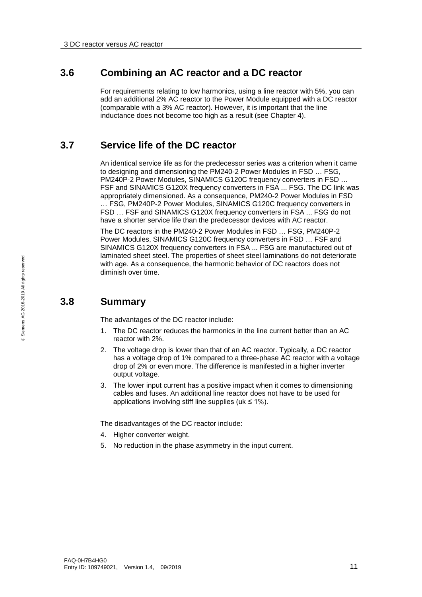## <span id="page-10-0"></span>**3.6 Combining an AC reactor and a DC reactor**

For requirements relating to low harmonics, using a line reactor with 5%, you can add an additional 2% AC reactor to the Power Module equipped with a DC reactor (comparable with a 3% AC reactor). However, it is important that the line inductance does not become too high as a result (see Chapter 4).

## <span id="page-10-1"></span>**3.7 Service life of the DC reactor**

An identical service life as for the predecessor series was a criterion when it came to designing and dimensioning the PM240-2 Power Modules in FSD … FSG, PM240P-2 Power Modules, SINAMICS G120C frequency converters in FSD … FSF and SINAMICS G120X frequency converters in FSA ... FSG. The DC link was appropriately dimensioned. As a consequence, PM240-2 Power Modules in FSD … FSG, PM240P-2 Power Modules, SINAMICS G120C frequency converters in FSD … FSF and SINAMICS G120X frequency converters in FSA ... FSG do not have a shorter service life than the predecessor devices with AC reactor.

The DC reactors in the PM240-2 Power Modules in FSD … FSG, PM240P-2 Power Modules, SINAMICS G120C frequency converters in FSD … FSF and SINAMICS G120X frequency converters in FSA ... FSG are manufactured out of laminated sheet steel. The properties of sheet steel laminations do not deteriorate with age. As a consequence, the harmonic behavior of DC reactors does not diminish over time.

## <span id="page-10-2"></span>**3.8 Summary**

The advantages of the DC reactor include:

- 1. The DC reactor reduces the harmonics in the line current better than an AC reactor with 2%.
- 2. The voltage drop is lower than that of an AC reactor. Typically, a DC reactor has a voltage drop of 1% compared to a three-phase AC reactor with a voltage drop of 2% or even more. The difference is manifested in a higher inverter output voltage.
- 3. The lower input current has a positive impact when it comes to dimensioning cables and fuses. An additional line reactor does not have to be used for applications involving stiff line supplies (uk  $\leq 1\%$ ).

The disadvantages of the DC reactor include:

- 4. Higher converter weight.
- 5. No reduction in the phase asymmetry in the input current.